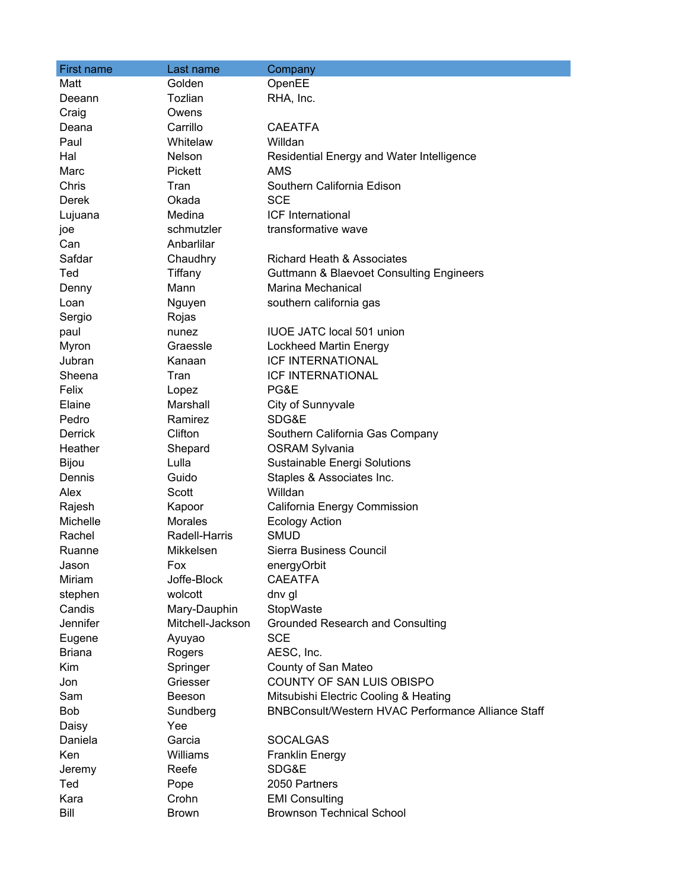| <b>First name</b> | Last name        | Company                                                   |
|-------------------|------------------|-----------------------------------------------------------|
| Matt              | Golden           | OpenEE                                                    |
| Deeann            | Tozlian          | RHA, Inc.                                                 |
| Craig             | Owens            |                                                           |
| Deana             | Carrillo         | <b>CAEATFA</b>                                            |
| Paul              | Whitelaw         | Willdan                                                   |
| Hal               | Nelson           | Residential Energy and Water Intelligence                 |
| Marc              | Pickett          | <b>AMS</b>                                                |
| Chris             | Tran             | Southern California Edison                                |
| Derek             | Okada            | <b>SCE</b>                                                |
| Lujuana           | Medina           | ICF International                                         |
| joe               | schmutzler       | transformative wave                                       |
| Can               | Anbarlilar       |                                                           |
| Safdar            | Chaudhry         | <b>Richard Heath &amp; Associates</b>                     |
| Ted               | Tiffany          | <b>Guttmann &amp; Blaevoet Consulting Engineers</b>       |
| Denny             | Mann             | Marina Mechanical                                         |
| Loan              | Nguyen           | southern california gas                                   |
| Sergio            | Rojas            |                                                           |
| paul              | nunez            | <b>IUOE JATC local 501 union</b>                          |
| Myron             | Graessle         | Lockheed Martin Energy                                    |
| Jubran            | Kanaan           | <b>ICF INTERNATIONAL</b>                                  |
| Sheena            | Tran             | <b>ICF INTERNATIONAL</b>                                  |
| Felix             | Lopez            | PG&E                                                      |
| Elaine            | Marshall         | City of Sunnyvale                                         |
| Pedro             | Ramirez          | SDG&E                                                     |
| <b>Derrick</b>    | Clifton          | Southern California Gas Company                           |
| Heather           | Shepard          | <b>OSRAM Sylvania</b>                                     |
| Bijou             | Lulla            | Sustainable Energi Solutions                              |
| Dennis            | Guido            | Staples & Associates Inc.                                 |
| Alex              | Scott            | Willdan                                                   |
| Rajesh            | Kapoor           | California Energy Commission                              |
| Michelle          | <b>Morales</b>   | <b>Ecology Action</b>                                     |
| Rachel            | Radell-Harris    | <b>SMUD</b>                                               |
| Ruanne            | Mikkelsen        | Sierra Business Council                                   |
| Jason             | Fox              | energyOrbit                                               |
| Miriam            | Joffe-Block      | <b>CAEATFA</b>                                            |
| stephen           | wolcott          | dnv gl                                                    |
| Candis            | Mary-Dauphin     | StopWaste                                                 |
| Jennifer          | Mitchell-Jackson | <b>Grounded Research and Consulting</b>                   |
| Eugene            | Ayuyao           | <b>SCE</b>                                                |
| <b>Briana</b>     | Rogers           | AESC, Inc.                                                |
| <b>Kim</b>        | Springer         | County of San Mateo                                       |
| Jon               | Griesser         | COUNTY OF SAN LUIS OBISPO                                 |
| Sam               | Beeson           | Mitsubishi Electric Cooling & Heating                     |
| Bob               | Sundberg         | <b>BNBConsult/Western HVAC Performance Alliance Staff</b> |
| Daisy             | Yee              |                                                           |
| Daniela           | Garcia           | <b>SOCALGAS</b>                                           |
| Ken               | Williams         | <b>Franklin Energy</b>                                    |
| Jeremy            | Reefe            | SDG&E                                                     |
| Ted               | Pope             | 2050 Partners                                             |
| Kara              | Crohn            | <b>EMI Consulting</b>                                     |
| Bill              | <b>Brown</b>     | <b>Brownson Technical School</b>                          |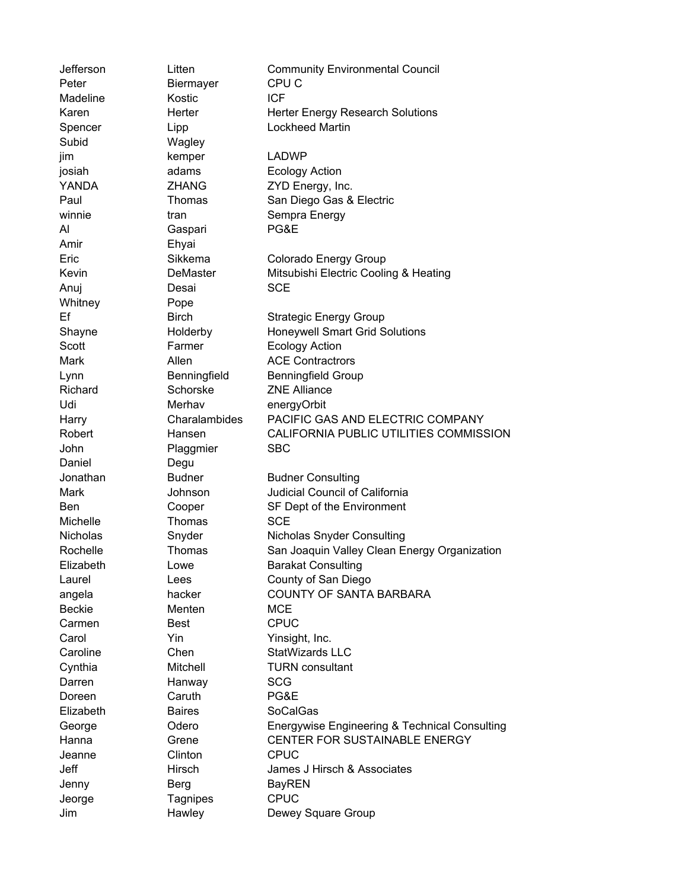Jefferson Litten Community Environmental Council Peter Biermayer CPU C Madeline **Kostic** ICF Karen **Herter** Herter Herter Energy Research Solutions Spencer Lipp Lockheed Martin Subid Wagley jim kemper LADWP josiah adams Ecology Action YANDA **ZHANG** ZYD Energy, Inc. Paul Thomas San Diego Gas & Electric winnie tran Sempra Energy Al Gaspari PG&E Amir Ehyai Eric Sikkema Colorado Energy Group Kevin **DeMaster** Mitsubishi Electric Cooling & Heating Anuj Desai SCE Whitney **Pope** Ef Birch Strategic Energy Group Shayne **Holderby** Honeywell Smart Grid Solutions Scott **Farmer** Ecology Action Mark **Allen** Allen **ACE Contractrors** Lynn Benningfield Benningfield Group Richard Schorske ZNE Alliance Udi Merhav energyOrbit Harry Charalambides PACIFIC GAS AND ELECTRIC COMPANY Robert Hansen CALIFORNIA PUBLIC UTILITIES COMMISSION John Plaggmier SBC Daniel Degu Jonathan Budner Budner Consulting Mark Johnson Judicial Council of California Ben Cooper SF Dept of the Environment Michelle **Thomas** SCE Nicholas Snyder Nicholas Snyder Consulting Rochelle Thomas San Joaquin Valley Clean Energy Organization Elizabeth Lowe Barakat Consulting Laurel Lees County of San Diego angela hacker COUNTY OF SANTA BARBARA Beckie Menten MCE Carmen Best CPUC Carol **Yin** Yin Yinsight, Inc. Caroline Chen StatWizards LLC Cynthia Mitchell TURN consultant Darren Hanway SCG Doreen Caruth PG&E Elizabeth Baires SoCalGas George Odero Energywise Engineering & Technical Consulting Hanna Grene CENTER FOR SUSTAINABLE ENERGY Jeanne Clinton CPUC Jeff Hirsch James J Hirsch & Associates Jenny Berg BayREN Jeorge Tagnipes CPUC Jim **Hawley** Dewey Square Group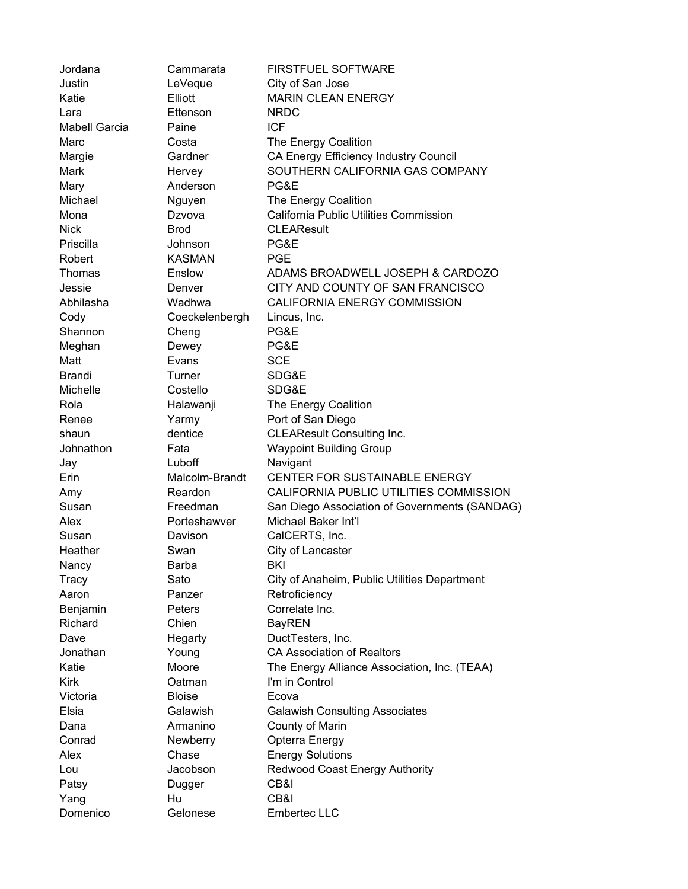| Jordana              | Cammarata      | <b>FIRSTFUEL SOFTWARE</b>                     |
|----------------------|----------------|-----------------------------------------------|
| Justin               | LeVeque        | City of San Jose                              |
| Katie                | Elliott        | <b>MARIN CLEAN ENERGY</b>                     |
| Lara                 | Ettenson       | <b>NRDC</b>                                   |
| <b>Mabell Garcia</b> | Paine          | <b>ICF</b>                                    |
| Marc                 | Costa          | The Energy Coalition                          |
| Margie               | Gardner        | CA Energy Efficiency Industry Council         |
| Mark                 | Hervey         | SOUTHERN CALIFORNIA GAS COMPANY               |
| Mary                 | Anderson       | PG&E                                          |
| Michael              | Nguyen         | The Energy Coalition                          |
| Mona                 | Dzvova         | California Public Utilities Commission        |
| <b>Nick</b>          | <b>Brod</b>    | <b>CLEAResult</b>                             |
| Priscilla            | Johnson        | PG&E                                          |
| Robert               | <b>KASMAN</b>  | <b>PGE</b>                                    |
| Thomas               | Enslow         | ADAMS BROADWELL JOSEPH & CARDOZO              |
| Jessie               | Denver         | CITY AND COUNTY OF SAN FRANCISCO              |
| Abhilasha            | Wadhwa         | CALIFORNIA ENERGY COMMISSION                  |
| Cody                 | Coeckelenbergh | Lincus, Inc.                                  |
| Shannon              | Cheng          | PG&E                                          |
| Meghan               | Dewey          | PG&E                                          |
| Matt                 | Evans          | <b>SCE</b>                                    |
| <b>Brandi</b>        | Turner         | SDG&E                                         |
| Michelle             | Costello       | SDG&E                                         |
| Rola                 | Halawanji      | The Energy Coalition                          |
| Renee                | Yarmy          | Port of San Diego                             |
| shaun                | dentice        | <b>CLEAResult Consulting Inc.</b>             |
| Johnathon            | Fata           | <b>Waypoint Building Group</b>                |
| Jay                  | Luboff         | Navigant                                      |
| Erin                 | Malcolm-Brandt | CENTER FOR SUSTAINABLE ENERGY                 |
| Amy                  | Reardon        | CALIFORNIA PUBLIC UTILITIES COMMISSION        |
| Susan                | Freedman       | San Diego Association of Governments (SANDAG) |
| Alex                 | Porteshawver   | Michael Baker Int'l                           |
| Susan                | Davison        | CalCERTS, Inc.                                |
| Heather              | Swan           | City of Lancaster                             |
| Nancy                | Barba          | BKI                                           |
| <b>Tracy</b>         | Sato           | City of Anaheim, Public Utilities Department  |
| Aaron                | Panzer         | Retroficiency                                 |
| Benjamin             | Peters         | Correlate Inc.                                |
| Richard              | Chien          | <b>BayREN</b>                                 |
| Dave                 | Hegarty        | DuctTesters, Inc.                             |
| Jonathan             | Young          | <b>CA Association of Realtors</b>             |
| Katie                | Moore          | The Energy Alliance Association, Inc. (TEAA)  |
| <b>Kirk</b>          | Oatman         | I'm in Control                                |
| Victoria             | <b>Bloise</b>  | Ecova                                         |
| Elsia                | Galawish       | <b>Galawish Consulting Associates</b>         |
| Dana                 | Armanino       | County of Marin                               |
| Conrad               | Newberry       | Opterra Energy                                |
| Alex                 | Chase          | <b>Energy Solutions</b>                       |
| Lou                  | Jacobson       | Redwood Coast Energy Authority                |
| Patsy                | Dugger         | CB&I                                          |
| Yang                 | Hu             | CB&I                                          |
| Domenico             | Gelonese       | <b>Embertec LLC</b>                           |
|                      |                |                                               |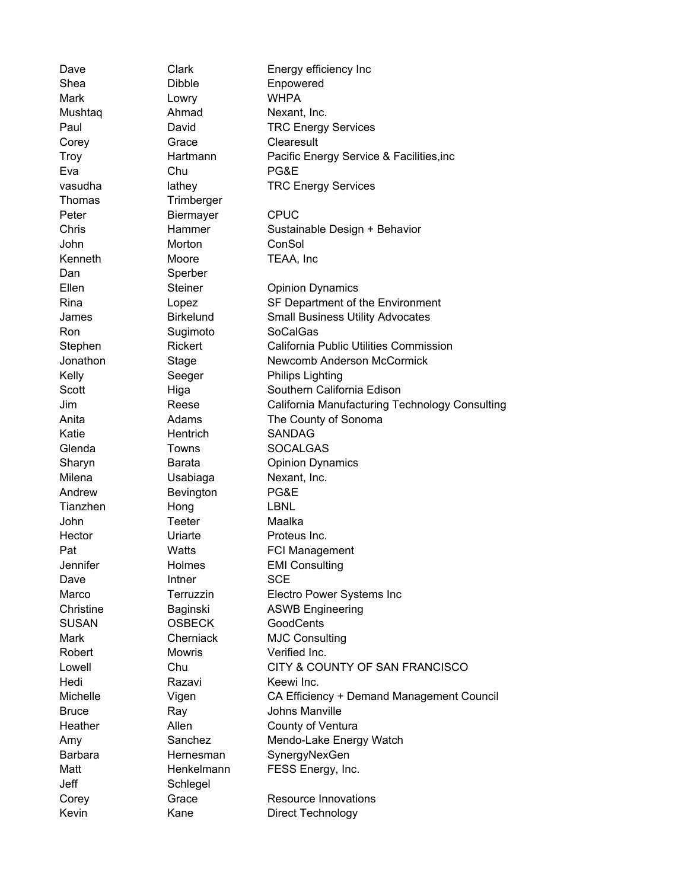Dave Clark Energy efficiency Inc Shea Dibble Enpowered Mark **Lowry** WHPA Mushtaq Ahmad Nexant, Inc. Paul David TRC Energy Services Corey **Grace** Clearesult Troy Hartmann Pacific Energy Service & Facilities,inc Eva Chu PG&E vasudha lathey TRC Energy Services Thomas Trimberger Peter Biermayer CPUC Chris Hammer Sustainable Design + Behavior John Morton ConSol Kenneth Moore TEAA, Inc Dan Sperber Ellen Steiner Opinion Dynamics Rina Lopez SF Department of the Environment James Birkelund Small Business Utility Advocates Ron Sugimoto SoCalGas Stephen Rickert California Public Utilities Commission Jonathon Stage Newcomb Anderson McCormick Kelly Seeger Philips Lighting Scott Higa Higa Southern California Edison Jim Reese California Manufacturing Technology Consulting Anita **Adams** Adams The County of Sonoma Katie **Hentrich** SANDAG Glenda Towns SOCALGAS Sharyn **Barata** Opinion Dynamics Milena **Usabiaga** Nexant, Inc. Andrew Bevington PG&E Tianzhen Hong LBNL John Teeter Maalka Hector **Uriarte** Proteus Inc. Pat Watts FCI Management Jennifer Holmes EMI Consulting Dave **Intner** SCE Marco Terruzzin Electro Power Systems Inc Christine Baginski ASWB Engineering SUSAN **OSBECK** GoodCents Mark Cherniack MJC Consulting Robert Mowris Verified Inc. Lowell Chu CITY & COUNTY OF SAN FRANCISCO Hedi Razavi Keewi Inc. Michelle Vigen CA Efficiency + Demand Management Council Bruce Ray Ray Johns Manville Heather **Allen** Allen County of Ventura Amy Sanchez Mendo-Lake Energy Watch Barbara **Hernesman** SynergyNexGen Matt Henkelmann FESS Energy, Inc. Jeff Schlegel Corey **Grace** Resource Innovations Kevin Kane Direct Technology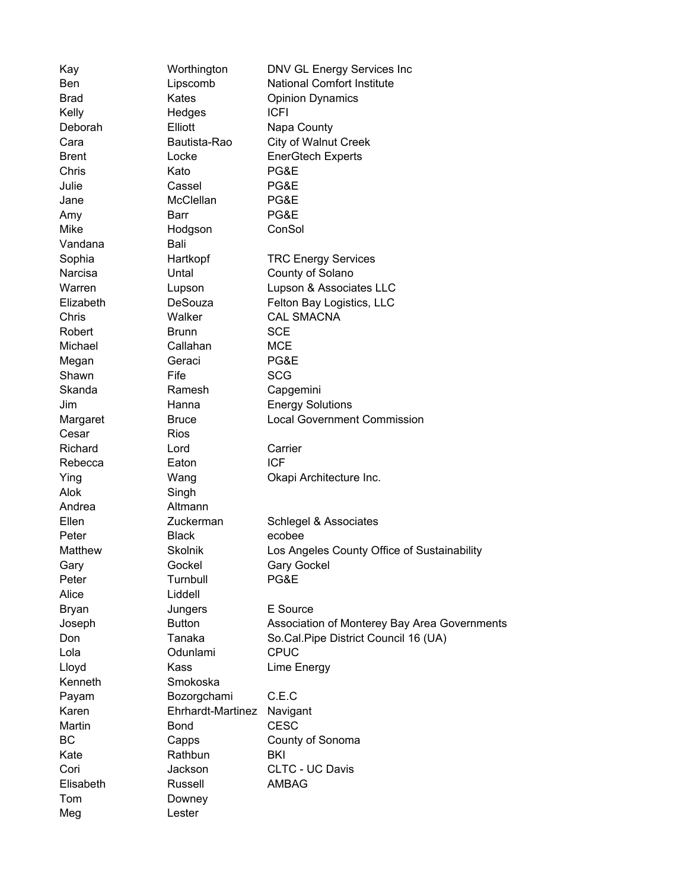| Kay            | Worthington       | DNV GL Energy Services Inc                   |
|----------------|-------------------|----------------------------------------------|
| Ben            | Lipscomb          | <b>National Comfort Institute</b>            |
| <b>Brad</b>    | Kates             | <b>Opinion Dynamics</b>                      |
| Kelly          | Hedges            | <b>ICFI</b>                                  |
| Deborah        | Elliott           | Napa County                                  |
| Cara           | Bautista-Rao      | City of Walnut Creek                         |
| Brent          | Locke             | <b>EnerGtech Experts</b>                     |
| Chris          | Kato              | PG&E                                         |
| Julie          | Cassel            | PG&E                                         |
| Jane           | McClellan         | PG&E                                         |
| Amy            | Barr              | PG&E                                         |
| Mike           | Hodgson           | ConSol                                       |
| Vandana        | Bali              |                                              |
| Sophia         | Hartkopf          | <b>TRC Energy Services</b>                   |
| Narcisa        | Untal             | County of Solano                             |
| Warren         | Lupson            | Lupson & Associates LLC                      |
| Elizabeth      | <b>DeSouza</b>    | Felton Bay Logistics, LLC                    |
| Chris          | Walker            | <b>CAL SMACNA</b>                            |
| Robert         | <b>Brunn</b>      | <b>SCE</b>                                   |
| Michael        | Callahan          | <b>MCE</b>                                   |
| Megan          | Geraci            | PG&E                                         |
| Shawn          | Fife              | <b>SCG</b>                                   |
| Skanda         | Ramesh            | Capgemini                                    |
| Jim            | Hanna             | <b>Energy Solutions</b>                      |
| Margaret       | <b>Bruce</b>      | <b>Local Government Commission</b>           |
| Cesar          | <b>Rios</b>       |                                              |
| Richard        | Lord              | Carrier                                      |
| Rebecca        | Eaton             | <b>ICF</b>                                   |
| Ying           | Wang              | Okapi Architecture Inc.                      |
| Alok           | Singh             |                                              |
| Andrea         | Altmann           |                                              |
| Ellen          | Zuckerman         | Schlegel & Associates                        |
| Peter          | <b>Black</b>      | ecobee                                       |
| <b>Matthew</b> | <b>Skolnik</b>    | Los Angeles County Office of Sustainability  |
| Gary           | Gockel            | <b>Gary Gockel</b>                           |
| Peter          | Turnbull          | PG&E                                         |
| Alice          | Liddell           |                                              |
| Bryan          | Jungers           | E Source                                     |
| Joseph         | <b>Button</b>     | Association of Monterey Bay Area Governments |
| Don            | Tanaka            | So.Cal.Pipe District Council 16 (UA)         |
| Lola           | Odunlami          | <b>CPUC</b>                                  |
| Lloyd          | Kass              | Lime Energy                                  |
| Kenneth        | Smokoska          |                                              |
| Payam          | Bozorgchami       | C.E.C                                        |
| Karen          | Ehrhardt-Martinez | Navigant                                     |
| Martin         | <b>Bond</b>       | <b>CESC</b>                                  |
| ВC             | Capps             | County of Sonoma                             |
| Kate           | Rathbun           | <b>BKI</b>                                   |
| Cori           | Jackson           | CLTC - UC Davis                              |
| Elisabeth      | Russell           | AMBAG                                        |
| Tom            | Downey            |                                              |
| Meg            | Lester            |                                              |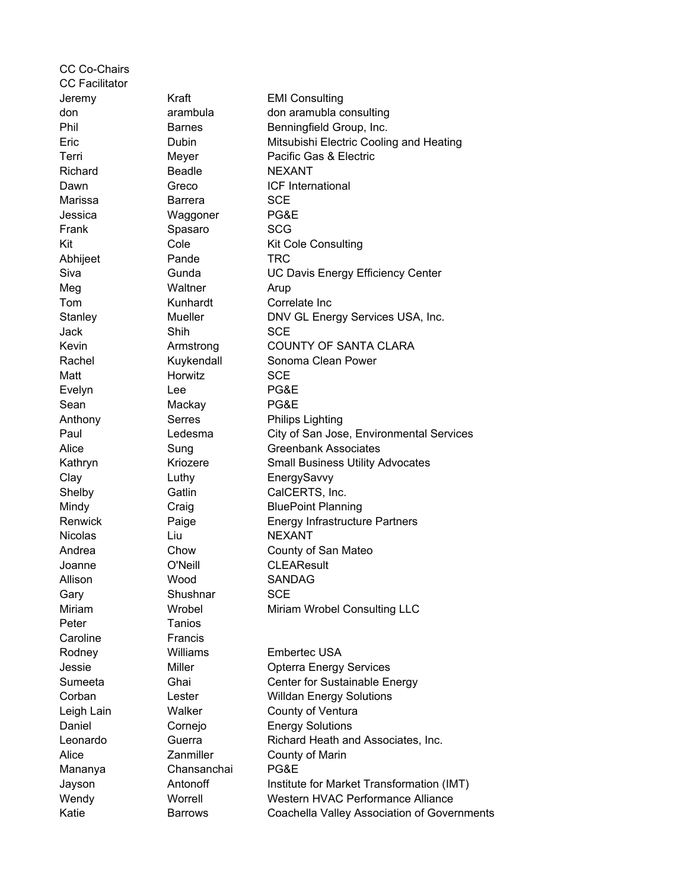CC Co-Chairs CC Facilitator Jeremy Kraft EMI Consulting don arambula don aramubla consulting Phil Barnes Benningfield Group, Inc. Eric Dubin Mitsubishi Electric Cooling and Heating Terri Meyer Pacific Gas & Electric Richard **Beadle** NEXANT Dawn Greco ICF International Marissa **Barrera** SCE Jessica Waggoner PG&E Frank Spasaro SCG Kit Cole Cole Kit Cole Consulting Abhijeet Pande TRC Siva Gunda UC Davis Energy Efficiency Center Meg Waltner Arup Tom Kunhardt Correlate Inc Stanley Mueller DNV GL Energy Services USA, Inc. Jack Shih SCE Kevin **Armstrong COUNTY OF SANTA CLARA** Rachel **Kuykendall** Sonoma Clean Power Matt **Horwitz** SCE Evelyn Lee PG&E Sean Mackay PG&E Anthony **Serres** Philips Lighting Paul Ledesma City of San Jose, Environmental Services Alice Sung Greenbank Associates Kathryn Kriozere Small Business Utility Advocates Clay Luthy EnergySavvy Shelby Gatlin CalCERTS, Inc. Mindy Craig BluePoint Planning Renwick Paige Energy Infrastructure Partners Nicolas Liu Liu NEXANT Andrea Chow County of San Mateo Joanne O'Neill CLEAResult Allison Wood SANDAG Gary Shushnar SCE Miriam Wrobel Miriam Wrobel Consulting LLC Peter Tanios Caroline **Francis** Rodney Williams Embertec USA Jessie Miller Opterra Energy Services Sumeeta Ghai Center for Sustainable Energy Corban Lester Willdan Energy Solutions Leigh Lain **Walker** County of Ventura Daniel **Cornejo Energy Solutions** Leonardo Guerra Richard Heath and Associates, Inc. Alice **Zanmiller** County of Marin Mananya Chansanchai PG&E Jayson **Antonoff** Institute for Market Transformation (IMT) Wendy Worrell Western HVAC Performance Alliance Katie **Barrows** Coachella Valley Association of Governments